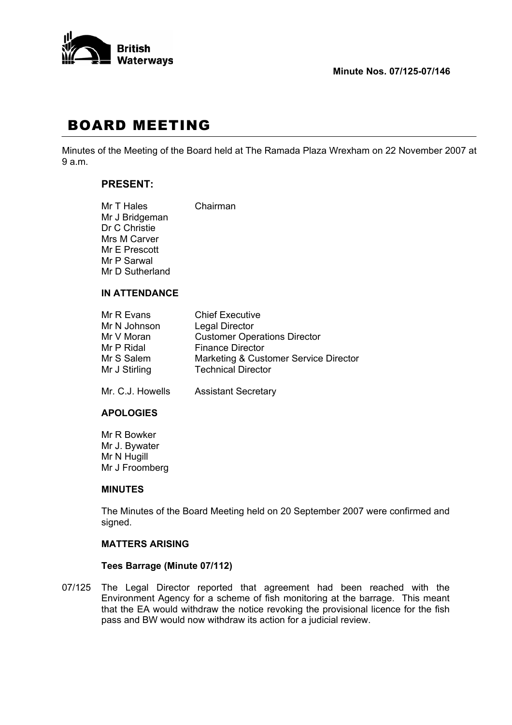

# BOARD MEETING

Minutes of the Meeting of the Board held at The Ramada Plaza Wrexham on 22 November 2007 at 9 a.m.

# **PRESENT:**

| Mr T Hales      | Chairman |
|-----------------|----------|
| Mr J Bridgeman  |          |
| Dr C Christie   |          |
| Mrs M Carver    |          |
| Mr E Prescott   |          |
| Mr P Sarwal     |          |
| Mr D Sutherland |          |
|                 |          |

# **IN ATTENDANCE**

| Mr R Evans       | <b>Chief Executive</b>                |
|------------------|---------------------------------------|
| Mr N Johnson     | <b>Legal Director</b>                 |
| Mr V Moran       | <b>Customer Operations Director</b>   |
| Mr P Ridal       | <b>Finance Director</b>               |
| Mr S Salem       | Marketing & Customer Service Director |
| Mr J Stirling    | <b>Technical Director</b>             |
| Mr. C.J. Howells | <b>Assistant Secretary</b>            |

#### **APOLOGIES**

 Mr R Bowker Mr J. Bywater Mr N Hugill Mr J Froomberg

#### **MINUTES**

 The Minutes of the Board Meeting held on 20 September 2007 were confirmed and signed.

# **MATTERS ARISING**

#### **Tees Barrage (Minute 07/112)**

07/125 The Legal Director reported that agreement had been reached with the Environment Agency for a scheme of fish monitoring at the barrage. This meant that the EA would withdraw the notice revoking the provisional licence for the fish pass and BW would now withdraw its action for a judicial review.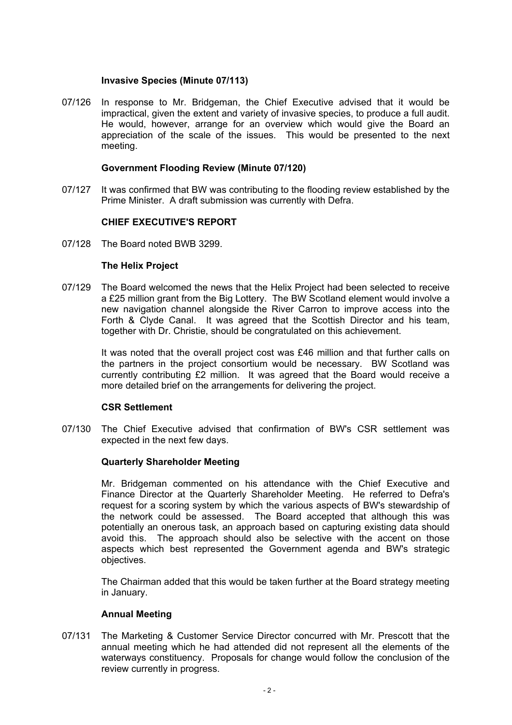# **Invasive Species (Minute 07/113)**

07/126 In response to Mr. Bridgeman, the Chief Executive advised that it would be impractical, given the extent and variety of invasive species, to produce a full audit. He would, however, arrange for an overview which would give the Board an appreciation of the scale of the issues. This would be presented to the next meeting.

# **Government Flooding Review (Minute 07/120)**

07/127 It was confirmed that BW was contributing to the flooding review established by the Prime Minister. A draft submission was currently with Defra.

# **CHIEF EXECUTIVE'S REPORT**

07/128 The Board noted BWB 3299.

# **The Helix Project**

07/129 The Board welcomed the news that the Helix Project had been selected to receive a £25 million grant from the Big Lottery. The BW Scotland element would involve a new navigation channel alongside the River Carron to improve access into the Forth & Clyde Canal. It was agreed that the Scottish Director and his team, together with Dr. Christie, should be congratulated on this achievement.

> It was noted that the overall project cost was £46 million and that further calls on the partners in the project consortium would be necessary. BW Scotland was currently contributing £2 million. It was agreed that the Board would receive a more detailed brief on the arrangements for delivering the project.

# **CSR Settlement**

07/130 The Chief Executive advised that confirmation of BW's CSR settlement was expected in the next few days.

#### **Quarterly Shareholder Meeting**

 Mr. Bridgeman commented on his attendance with the Chief Executive and Finance Director at the Quarterly Shareholder Meeting. He referred to Defra's request for a scoring system by which the various aspects of BW's stewardship of the network could be assessed. The Board accepted that although this was potentially an onerous task, an approach based on capturing existing data should avoid this. The approach should also be selective with the accent on those aspects which best represented the Government agenda and BW's strategic objectives.

 The Chairman added that this would be taken further at the Board strategy meeting in January.

# **Annual Meeting**

07/131 The Marketing & Customer Service Director concurred with Mr. Prescott that the annual meeting which he had attended did not represent all the elements of the waterways constituency. Proposals for change would follow the conclusion of the review currently in progress.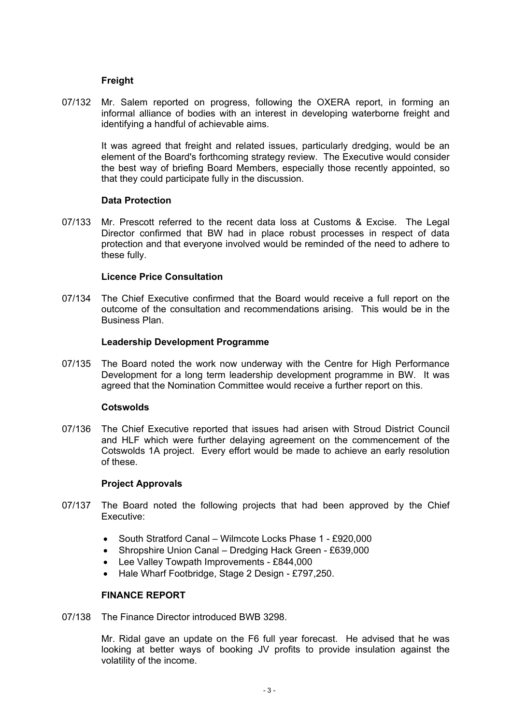# **Freight**

07/132 Mr. Salem reported on progress, following the OXERA report, in forming an informal alliance of bodies with an interest in developing waterborne freight and identifying a handful of achievable aims.

> It was agreed that freight and related issues, particularly dredging, would be an element of the Board's forthcoming strategy review. The Executive would consider the best way of briefing Board Members, especially those recently appointed, so that they could participate fully in the discussion.

# **Data Protection**

07/133 Mr. Prescott referred to the recent data loss at Customs & Excise. The Legal Director confirmed that BW had in place robust processes in respect of data protection and that everyone involved would be reminded of the need to adhere to these fully.

# **Licence Price Consultation**

07/134 The Chief Executive confirmed that the Board would receive a full report on the outcome of the consultation and recommendations arising. This would be in the Business Plan.

# **Leadership Development Programme**

07/135 The Board noted the work now underway with the Centre for High Performance Development for a long term leadership development programme in BW. It was agreed that the Nomination Committee would receive a further report on this.

#### **Cotswolds**

07/136 The Chief Executive reported that issues had arisen with Stroud District Council and HLF which were further delaying agreement on the commencement of the Cotswolds 1A project. Every effort would be made to achieve an early resolution of these.

#### **Project Approvals**

- 07/137 The Board noted the following projects that had been approved by the Chief Executive:
	- South Stratford Canal Wilmcote Locks Phase 1 £920,000
	- Shropshire Union Canal Dredging Hack Green £639,000
	- Lee Valley Towpath Improvements £844,000
	- Hale Wharf Footbridge, Stage 2 Design £797,250.

#### **FINANCE REPORT**

07/138 The Finance Director introduced BWB 3298.

 Mr. Ridal gave an update on the F6 full year forecast. He advised that he was looking at better ways of booking JV profits to provide insulation against the volatility of the income.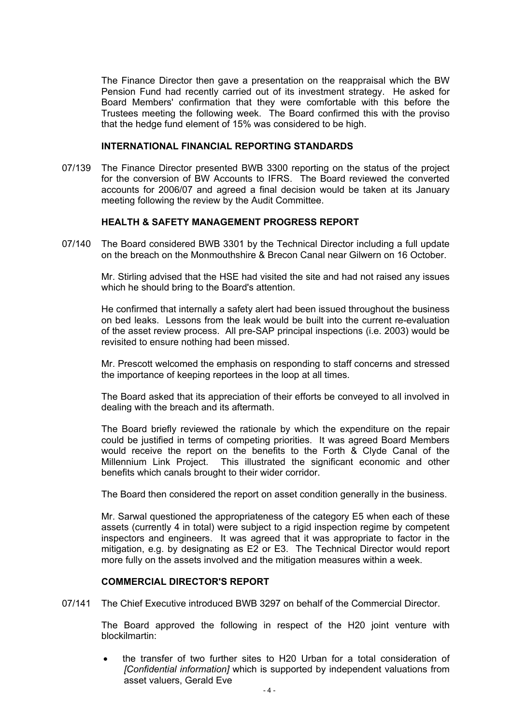The Finance Director then gave a presentation on the reappraisal which the BW Pension Fund had recently carried out of its investment strategy. He asked for Board Members' confirmation that they were comfortable with this before the Trustees meeting the following week. The Board confirmed this with the proviso that the hedge fund element of 15% was considered to be high.

#### **INTERNATIONAL FINANCIAL REPORTING STANDARDS**

07/139 The Finance Director presented BWB 3300 reporting on the status of the project for the conversion of BW Accounts to IFRS. The Board reviewed the converted accounts for 2006/07 and agreed a final decision would be taken at its January meeting following the review by the Audit Committee.

# **HEALTH & SAFETY MANAGEMENT PROGRESS REPORT**

07/140 The Board considered BWB 3301 by the Technical Director including a full update on the breach on the Monmouthshire & Brecon Canal near Gilwern on 16 October.

 Mr. Stirling advised that the HSE had visited the site and had not raised any issues which he should bring to the Board's attention.

 He confirmed that internally a safety alert had been issued throughout the business on bed leaks. Lessons from the leak would be built into the current re-evaluation of the asset review process. All pre-SAP principal inspections (i.e. 2003) would be revisited to ensure nothing had been missed.

 Mr. Prescott welcomed the emphasis on responding to staff concerns and stressed the importance of keeping reportees in the loop at all times.

 The Board asked that its appreciation of their efforts be conveyed to all involved in dealing with the breach and its aftermath.

 The Board briefly reviewed the rationale by which the expenditure on the repair could be justified in terms of competing priorities. It was agreed Board Members would receive the report on the benefits to the Forth & Clyde Canal of the Millennium Link Project. This illustrated the significant economic and other benefits which canals brought to their wider corridor.

The Board then considered the report on asset condition generally in the business.

 Mr. Sarwal questioned the appropriateness of the category E5 when each of these assets (currently 4 in total) were subject to a rigid inspection regime by competent inspectors and engineers. It was agreed that it was appropriate to factor in the mitigation, e.g. by designating as E2 or E3. The Technical Director would report more fully on the assets involved and the mitigation measures within a week.

#### **COMMERCIAL DIRECTOR'S REPORT**

07/141 The Chief Executive introduced BWB 3297 on behalf of the Commercial Director.

 The Board approved the following in respect of the H20 joint venture with blockilmartin:

• the transfer of two further sites to H20 Urban for a total consideration of *[Confidential information]* which is supported by independent valuations from asset valuers, Gerald Eve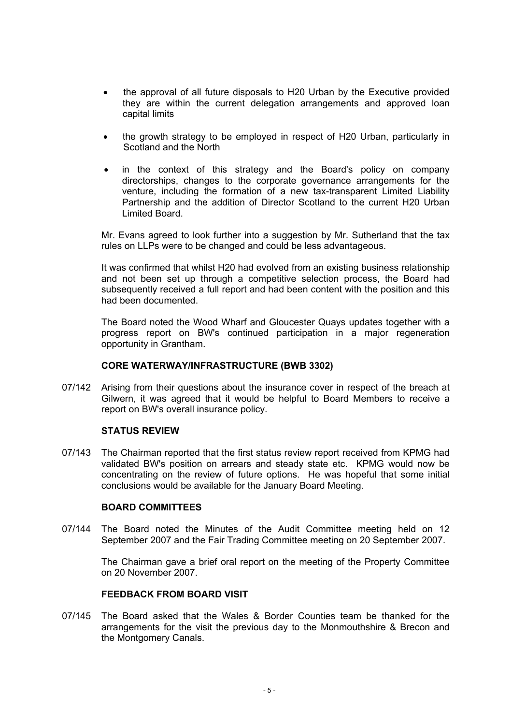- the approval of all future disposals to H20 Urban by the Executive provided they are within the current delegation arrangements and approved loan capital limits
- the growth strategy to be employed in respect of H20 Urban, particularly in Scotland and the North
- in the context of this strategy and the Board's policy on company directorships, changes to the corporate governance arrangements for the venture, including the formation of a new tax-transparent Limited Liability Partnership and the addition of Director Scotland to the current H20 Urban Limited Board.

 Mr. Evans agreed to look further into a suggestion by Mr. Sutherland that the tax rules on LLPs were to be changed and could be less advantageous.

 It was confirmed that whilst H20 had evolved from an existing business relationship and not been set up through a competitive selection process, the Board had subsequently received a full report and had been content with the position and this had been documented.

 The Board noted the Wood Wharf and Gloucester Quays updates together with a progress report on BW's continued participation in a major regeneration opportunity in Grantham.

#### **CORE WATERWAY/INFRASTRUCTURE (BWB 3302)**

07/142 Arising from their questions about the insurance cover in respect of the breach at Gilwern, it was agreed that it would be helpful to Board Members to receive a report on BW's overall insurance policy.

#### **STATUS REVIEW**

07/143 The Chairman reported that the first status review report received from KPMG had validated BW's position on arrears and steady state etc. KPMG would now be concentrating on the review of future options. He was hopeful that some initial conclusions would be available for the January Board Meeting.

# **BOARD COMMITTEES**

07/144 The Board noted the Minutes of the Audit Committee meeting held on 12 September 2007 and the Fair Trading Committee meeting on 20 September 2007.

> The Chairman gave a brief oral report on the meeting of the Property Committee on 20 November 2007.

# **FEEDBACK FROM BOARD VISIT**

07/145 The Board asked that the Wales & Border Counties team be thanked for the arrangements for the visit the previous day to the Monmouthshire & Brecon and the Montgomery Canals.